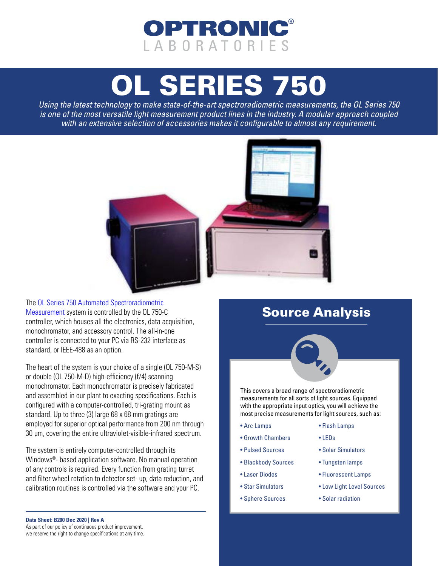# OPTRONIC LABORATORIES

# [OL SERIES 750](https://optroniclabs.com/products/spectroradiometers/ol-750-automated-spectroradiometric-measurement-system/)

*Using the latest technology to make state-of-the-art spectroradiometric measurements, the OL Series 750 is one of the most versatile light measurement product lines in the industry. A modular approach coupled with an extensive selection of accessories makes it configurable to almost any requirement.*



Th[e OL Series 750 Automated Spectroradiometric](https://optroniclabs.com/products/spectroradiometers/ol-750-automated-spectroradiometric-measurement-system/)  [Measurement s](https://optroniclabs.com/products/spectroradiometers/ol-750-automated-spectroradiometric-measurement-system/)ystem is controlled by the OL 750-C controller, which houses all the electronics, data acquisition, monochromator, and accessory control. The all-in-one controller is connected to your PC via RS-232 interface as standard, or IEEE-488 as an option.

The heart of the system is your choice of a single (OL 750-M-S) or double (OL 750-M-D) high-efficiency (f/4) scanning monochromator. Each monochromator is precisely fabricated and assembled in our plant to exacting specifications. Each is configured with a computer-controlled, tri-grating mount as standard. Up to three (3) large 68 x 68 mm gratings are employed for superior optical performance from 200 nm through 30 μm, covering the entire ultraviolet-visible-infrared spectrum.

The system is entirely computer-controlled through its Windows®- based application software. No manual operation of any controls is required. Every function from grating turret and filter wheel rotation to detector set- up, data reduction, and calibration routines is controlled via the software and your PC.

## Source Analysis



This covers a broad range of spectroradiometric measurements for all sorts of light sources. Equipped with the appropriate input optics, you will achieve the most precise measurements for light sources, such as:

- Arc Lamps
- Growth Chambers
- Pulsed Sources
- Blackbody Sources
- Laser Diodes
- Star Simulators
- Sphere Sources
- Flash Lamps
- LEDs
- Solar Simulators
- Tungsten lamps
- Fluorescent Lamps
- Low Light Level Sources
- Solar radiation

**Data Sheet: B200 Dec 2020 | Rev A**

As part of our policy of continuous product improvement, we reserve the right to change specifications at any time.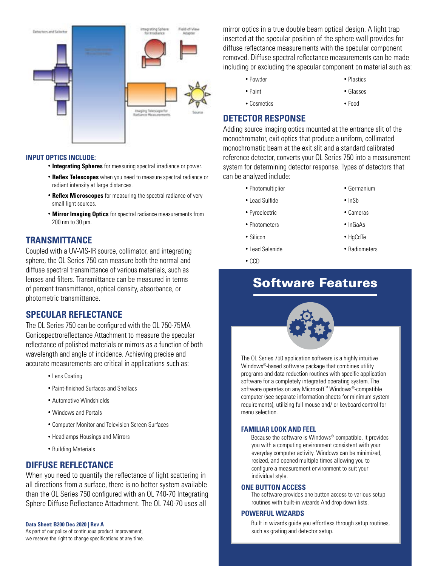

## **INPUT OPTICS INCLUDE:**

- **Integrating Spheres** for measuring spectral irradiance or power.
- **Reflex Telescopes** when you need to measure spectral radiance or radiant intensity at large distances.
- **Reflex Microscopes** for measuring the spectral radiance of very small light sources.
- **Mirror Imaging Optics** for spectral radiance measurements from 200 nm to 30 μm.

## **TRANSMITTANCE**

Coupled with a UV-VIS-IR source, collimator, and integrating sphere, the OL Series 750 can measure both the normal and diffuse spectral transmittance of various materials, such as lenses and filters. Transmittance can be measured in terms of percent transmittance, optical density, absorbance, or photometric transmittance.

## **SPECULAR REFLECTANCE**

The OL Series 750 can be configured with the OL 750-75MA Goniospectroreflectance Attachment to measure the specular reflectance of polished materials or mirrors as a function of both wavelength and angle of incidence. Achieving precise and accurate measurements are critical in applications such as:

- Lens Coating
- Paint-finished Surfaces and Shellacs
- Automotive Windshields
- Windows and Portals
- Computer Monitor and Television Screen Surfaces
- Headlamps Housings and Mirrors
- Building Materials

## **DIFFUSE REFLECTANCE**

When you need to quantify the reflectance of light scattering in all directions from a surface, there is no better system available than the OL Series 750 configured with an OL 740-70 Integrating Sphere Diffuse Reflectance Attachment. The OL 740-70 uses all

**Data Sheet: B200 Dec 2020 | Rev A** As part of our policy of continuous product improvement, we reserve the right to change specifications at any time. mirror optics in a true double beam optical design. A light trap inserted at the specular position of the sphere wall provides for diffuse reflectance measurements with the specular component removed. Diffuse spectral reflectance measurements can be made including or excluding the specular component on material such as:

• Powder

• Plastics

• Paint

• Glasses

• Cosmetics

- Food
- **DETECTOR RESPONSE**

Adding source imaging optics mounted at the entrance slit of the monochromator, exit optics that produce a uniform, collimated monochromatic beam at the exit slit and a standard calibrated reference detector, converts your OL Series 750 into a measurement system for determining detector response. Types of detectors that can be analyzed include:

- Photomultiplier
- Lead Sulfide
- Pyroelectric
- Photometers
- Silicon
- Lead Selenide
- CCD
- Germanium
- InSb
	- Cameras
- InGaAs
- HgCdTe
- Radiometers

## Software Features

The OL Series 750 application software is a highly intuitive Windows®-based software package that combines utility programs and data reduction routines with specific application software for a completely integrated operating system. The software operates on any Microsoft<sup>™</sup> Windows®-compatible computer (see separate information sheets for minimum system requirements), utilizing full mouse and/ or keyboard control for

## menu selection.

## **FAMILIAR LOOK AND FEEL**

 Because the software is Windows®-compatible, it provides you with a computing environment consistent with your everyday computer activity. Windows can be minimized, resized, and opened multiple times allowing you to configure a measurement environment to suit your individual style.

## **ONE BUTTON ACCESS**

 The software provides one button access to various setup routines with built-in wizards And drop down lists.

## **POWERFUL WIZARDS**

 Built in wizards guide you effortless through setup routines, such as grating and detector setup.